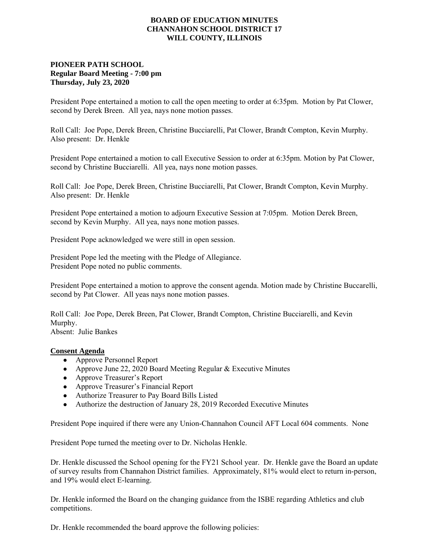## **BOARD OF EDUCATION MINUTES CHANNAHON SCHOOL DISTRICT 17 WILL COUNTY, ILLINOIS**

## **PIONEER PATH SCHOOL Regular Board Meeting - 7:00 pm Thursday, July 23, 2020**

President Pope entertained a motion to call the open meeting to order at 6:35pm. Motion by Pat Clower, second by Derek Breen. All yea, nays none motion passes.

Roll Call: Joe Pope, Derek Breen, Christine Bucciarelli, Pat Clower, Brandt Compton, Kevin Murphy. Also present: Dr. Henkle

President Pope entertained a motion to call Executive Session to order at 6:35pm. Motion by Pat Clower, second by Christine Bucciarelli. All yea, nays none motion passes.

Roll Call: Joe Pope, Derek Breen, Christine Bucciarelli, Pat Clower, Brandt Compton, Kevin Murphy. Also present: Dr. Henkle

President Pope entertained a motion to adjourn Executive Session at 7:05pm. Motion Derek Breen, second by Kevin Murphy. All yea, nays none motion passes.

President Pope acknowledged we were still in open session.

President Pope led the meeting with the Pledge of Allegiance. President Pope noted no public comments.

President Pope entertained a motion to approve the consent agenda. Motion made by Christine Buccarelli, second by Pat Clower. All yeas nays none motion passes.

Roll Call: Joe Pope, Derek Breen, Pat Clower, Brandt Compton, Christine Bucciarelli, and Kevin Murphy.

Absent: Julie Bankes

## **Consent Agenda**

- Approve Personnel Report
- Approve June 22, 2020 Board Meeting Regular & Executive Minutes
- Approve Treasurer's Report
- Approve Treasurer's Financial Report
- Authorize Treasurer to Pay Board Bills Listed
- Authorize the destruction of January 28, 2019 Recorded Executive Minutes

President Pope inquired if there were any Union-Channahon Council AFT Local 604 comments. None

President Pope turned the meeting over to Dr. Nicholas Henkle.

Dr. Henkle discussed the School opening for the FY21 School year. Dr. Henkle gave the Board an update of survey results from Channahon District families. Approximately, 81% would elect to return in-person, and 19% would elect E-learning.

Dr. Henkle informed the Board on the changing guidance from the ISBE regarding Athletics and club competitions.

Dr. Henkle recommended the board approve the following policies: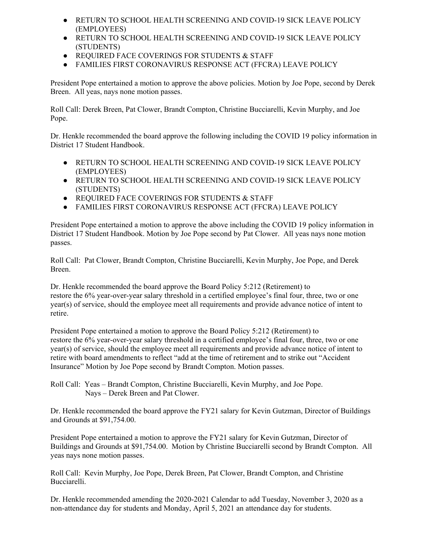- RETURN TO SCHOOL HEALTH SCREENING AND COVID-19 SICK LEAVE POLICY (EMPLOYEES)
- RETURN TO SCHOOL HEALTH SCREENING AND COVID-19 SICK LEAVE POLICY (STUDENTS)
- REQUIRED FACE COVERINGS FOR STUDENTS & STAFF
- FAMILIES FIRST CORONAVIRUS RESPONSE ACT (FFCRA) LEAVE POLICY

President Pope entertained a motion to approve the above policies. Motion by Joe Pope, second by Derek Breen. All yeas, nays none motion passes.

Roll Call: Derek Breen, Pat Clower, Brandt Compton, Christine Bucciarelli, Kevin Murphy, and Joe Pope.

Dr. Henkle recommended the board approve the following including the COVID 19 policy information in District 17 Student Handbook.

- RETURN TO SCHOOL HEALTH SCREENING AND COVID-19 SICK LEAVE POLICY (EMPLOYEES)
- **RETURN TO SCHOOL HEALTH SCREENING AND COVID-19 SICK LEAVE POLICY** (STUDENTS)
- REQUIRED FACE COVERINGS FOR STUDENTS & STAFF
- FAMILIES FIRST CORONAVIRUS RESPONSE ACT (FFCRA) LEAVE POLICY

President Pope entertained a motion to approve the above including the COVID 19 policy information in District 17 Student Handbook. Motion by Joe Pope second by Pat Clower. All yeas nays none motion passes.

Roll Call: Pat Clower, Brandt Compton, Christine Bucciarelli, Kevin Murphy, Joe Pope, and Derek Breen.

Dr. Henkle recommended the board approve the Board Policy 5:212 (Retirement) to restore the 6% year-over-year salary threshold in a certified employee's final four, three, two or one year(s) of service, should the employee meet all requirements and provide advance notice of intent to retire.

President Pope entertained a motion to approve the Board Policy 5:212 (Retirement) to restore the 6% year-over-year salary threshold in a certified employee's final four, three, two or one year(s) of service, should the employee meet all requirements and provide advance notice of intent to retire with board amendments to reflect "add at the time of retirement and to strike out "Accident Insurance" Motion by Joe Pope second by Brandt Compton. Motion passes.

Roll Call: Yeas – Brandt Compton, Christine Bucciarelli, Kevin Murphy, and Joe Pope. Nays – Derek Breen and Pat Clower.

Dr. Henkle recommended the board approve the FY21 salary for Kevin Gutzman, Director of Buildings and Grounds at \$91,754.00.

President Pope entertained a motion to approve the FY21 salary for Kevin Gutzman, Director of Buildings and Grounds at \$91,754.00. Motion by Christine Bucciarelli second by Brandt Compton. All yeas nays none motion passes.

Roll Call: Kevin Murphy, Joe Pope, Derek Breen, Pat Clower, Brandt Compton, and Christine Bucciarelli.

Dr. Henkle recommended amending the 2020-2021 Calendar to add Tuesday, November 3, 2020 as a non-attendance day for students and Monday, April 5, 2021 an attendance day for students.